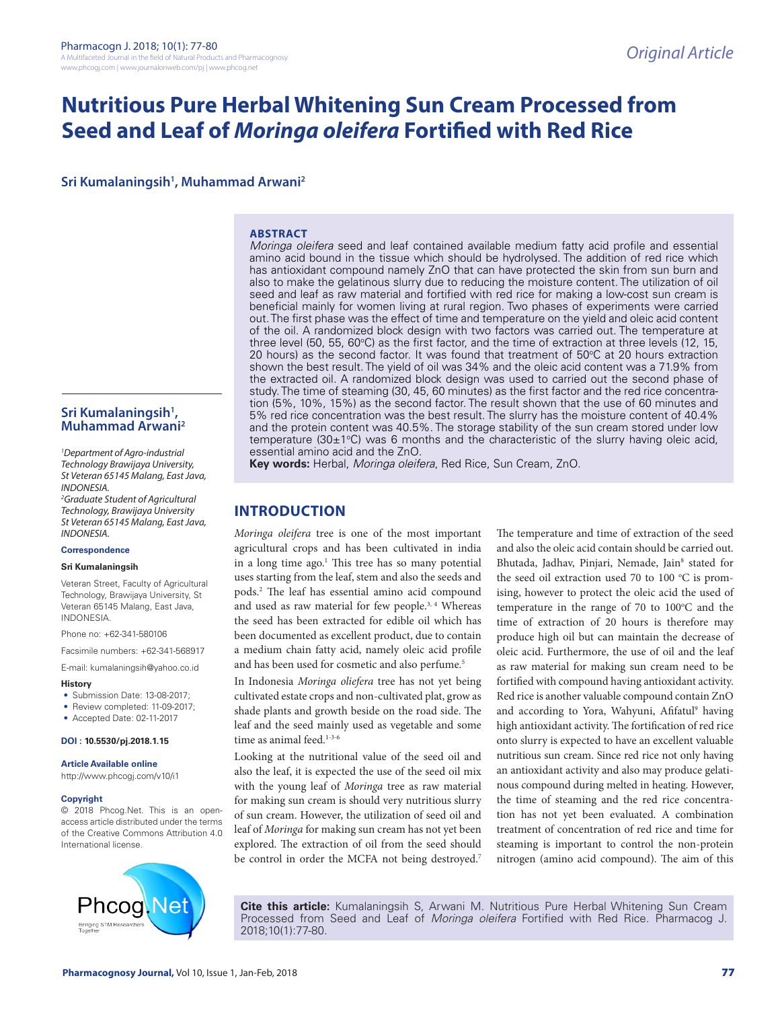# **Nutritious Pure Herbal Whitening Sun Cream Processed from Seed and Leaf of** *Moringa oleifera* **Fortified with Red Rice**

**Sri Kumalaningsih1 , Muhammad Arwani2**

### **ABSTRACT**

*Moringa oleifera* seed and leaf contained available medium fatty acid profile and essential amino acid bound in the tissue which should be hydrolysed. The addition of red rice which has antioxidant compound namely ZnO that can have protected the skin from sun burn and also to make the gelatinous slurry due to reducing the moisture content. The utilization of oil seed and leaf as raw material and fortified with red rice for making a low-cost sun cream is beneficial mainly for women living at rural region. Two phases of experiments were carried out. The first phase was the effect of time and temperature on the yield and oleic acid content of the oil. A randomized block design with two factors was carried out. The temperature at three level (50, 55, 60°C) as the first factor, and the time of extraction at three levels (12, 15, 20 hours) as the second factor. It was found that treatment of 50°C at 20 hours extraction shown the best result. The yield of oil was 34% and the oleic acid content was a 71.9% from the extracted oil. A randomized block design was used to carried out the second phase of study. The time of steaming (30, 45, 60 minutes) as the first factor and the red rice concentration (5%, 10%, 15%) as the second factor. The result shown that the use of 60 minutes and 5% red rice concentration was the best result. The slurry has the moisture content of 40.4% and the protein content was 40.5%. The storage stability of the sun cream stored under low temperature (30 $\pm$ 1°C) was 6 months and the characteristic of the slurry having oleic acid, essential amino acid and the ZnO.

**Key words:** Herbal, *Moringa oleifera*, Red Rice, Sun Cream, ZnO.

## **INTRODUCTION**

*Moringa oleifera* tree is one of the most important agricultural crops and has been cultivated in india in a long time ago.<sup>1</sup> This tree has so many potential uses starting from the leaf, stem and also the seeds and pods.2 The leaf has essential amino acid compound and used as raw material for few people.<sup>3, 4</sup> Whereas the seed has been extracted for edible oil which has been documented as excellent product, due to contain a medium chain fatty acid, namely oleic acid profile and has been used for cosmetic and also perfume.<sup>5</sup>

In Indonesia *Moringa oliefera* tree has not yet being cultivated estate crops and non-cultivated plat, grow as shade plants and growth beside on the road side. The leaf and the seed mainly used as vegetable and some time as animal feed.<sup>1-3-6</sup>

Looking at the nutritional value of the seed oil and also the leaf, it is expected the use of the seed oil mix with the young leaf of *Moringa* tree as raw material for making sun cream is should very nutritious slurry of sun cream. However, the utilization of seed oil and leaf of *Moringa* for making sun cream has not yet been explored. The extraction of oil from the seed should be control in order the MCFA not being destroyed.<sup>7</sup>

The temperature and time of extraction of the seed and also the oleic acid contain should be carried out. Bhutada, Jadhav, Pinjari, Nemade, Jain<sup>8</sup> stated for the seed oil extraction used 70 to 100 °C is promising, however to protect the oleic acid the used of temperature in the range of 70 to 100°C and the time of extraction of 20 hours is therefore may produce high oil but can maintain the decrease of oleic acid. Furthermore, the use of oil and the leaf as raw material for making sun cream need to be fortified with compound having antioxidant activity. Red rice is another valuable compound contain ZnO and according to Yora, Wahyuni, Afifatul<sup>9</sup> having high antioxidant activity. The fortification of red rice onto slurry is expected to have an excellent valuable nutritious sun cream. Since red rice not only having an antioxidant activity and also may produce gelatinous compound during melted in heating. However, the time of steaming and the red rice concentration has not yet been evaluated. A combination treatment of concentration of red rice and time for steaming is important to control the non-protein nitrogen (amino acid compound). The aim of this

**Cite this article:** Kumalaningsih S, Arwani M. Nutritious Pure Herbal Whitening Sun Cream Processed from Seed and Leaf of *Moringa oleifera* Fortified with Red Rice. Pharmacog J. 2018;10(1):77-80.

Sri Kumalaningsih<sup>1</sup>, **Muhammad Arwani2**

*1 Department of Agro-industrial Technology Brawijaya University, St Veteran 65145 Malang, East Java, INDONESIA.*

*2 Graduate Student of Agricultural Technology, Brawijaya University St Veteran 65145 Malang, East Java, INDONESIA.*

#### **Correspondence**

#### **Sri Kumalaningsih**

Veteran Street, Faculty of Agricultural Technology, Brawijaya University, St Veteran 65145 Malang, East Java, INDONESIA.

Phone no: +62-341-580106

Facsimile numbers: +62-341-568917

E-mail: kumalaningsih@yahoo.co.id

#### **History**

- Submission Date: 13-08-2017;
- Review completed: 11-09-2017;
- Accepted Date: 02-11-2017

#### **DOI : 10.5530/pj.2018.1.15**

#### **Article Available online**

http://www.phcogj.com/v10/i1

#### **Copyright**

© 2018 Phcog.Net. This is an openaccess article distributed under the terms of the Creative Commons Attribution 4.0 International license.

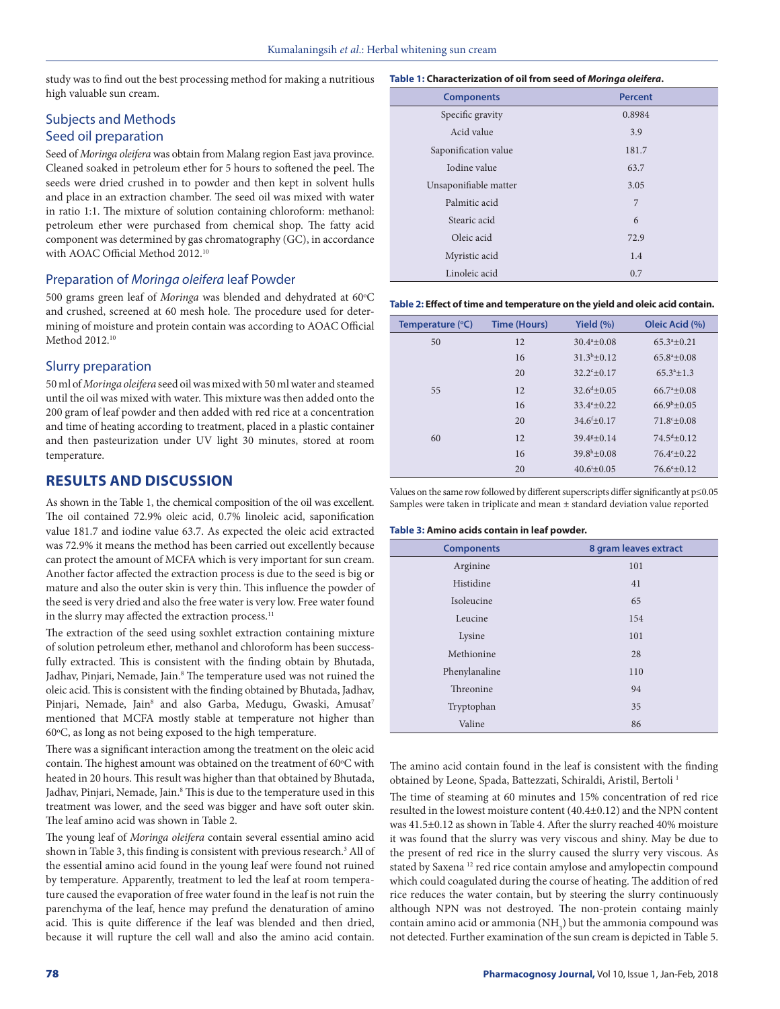study was to find out the best processing method for making a nutritious high valuable sun cream.

### Subjects and Methods Seed oil preparation

Seed of *Moringa oleifera* was obtain from Malang region East java province. Cleaned soaked in petroleum ether for 5 hours to softened the peel. The seeds were dried crushed in to powder and then kept in solvent hulls and place in an extraction chamber. The seed oil was mixed with water in ratio 1:1. The mixture of solution containing chloroform: methanol: petroleum ether were purchased from chemical shop. The fatty acid component was determined by gas chromatography (GC), in accordance with AOAC Official Method 2012.10

### Preparation of *Moringa oleifera* leaf Powder

500 grams green leaf of Moringa was blended and dehydrated at 60°C and crushed, screened at 60 mesh hole. The procedure used for determining of moisture and protein contain was according to AOAC Official Method 2012.<sup>10</sup>

### Slurry preparation

50 ml of *Moringa oleifera* seed oil was mixed with 50 ml water and steamed until the oil was mixed with water. This mixture was then added onto the 200 gram of leaf powder and then added with red rice at a concentration and time of heating according to treatment, placed in a plastic container and then pasteurization under UV light 30 minutes, stored at room temperature.

### **RESULTS AND DISCUSSION**

As shown in the Table 1, the chemical composition of the oil was excellent. The oil contained 72.9% oleic acid, 0.7% linoleic acid, saponification value 181.7 and iodine value 63.7. As expected the oleic acid extracted was 72.9% it means the method has been carried out excellently because can protect the amount of MCFA which is very important for sun cream. Another factor affected the extraction process is due to the seed is big or mature and also the outer skin is very thin. This influence the powder of the seed is very dried and also the free water is very low. Free water found in the slurry may affected the extraction process.<sup>11</sup>

The extraction of the seed using soxhlet extraction containing mixture of solution petroleum ether, methanol and chloroform has been successfully extracted. This is consistent with the finding obtain by Bhutada, Jadhav, Pinjari, Nemade, Jain.<sup>8</sup> The temperature used was not ruined the oleic acid. This is consistent with the finding obtained by Bhutada, Jadhav, Pinjari, Nemade, Jain<sup>8</sup> and also Garba, Medugu, Gwaski, Amusat<sup>7</sup> mentioned that MCFA mostly stable at temperature not higher than 60°C, as long as not being exposed to the high temperature.

There was a significant interaction among the treatment on the oleic acid contain. The highest amount was obtained on the treatment of  $60^{\circ}$ C with heated in 20 hours. This result was higher than that obtained by Bhutada, Jadhav, Pinjari, Nemade, Jain.<sup>8</sup> This is due to the temperature used in this treatment was lower, and the seed was bigger and have soft outer skin. The leaf amino acid was shown in Table 2.

The young leaf of *Moringa oleifera* contain several essential amino acid shown in Table 3, this finding is consistent with previous research.<sup>3</sup> All of the essential amino acid found in the young leaf were found not ruined by temperature. Apparently, treatment to led the leaf at room temperature caused the evaporation of free water found in the leaf is not ruin the parenchyma of the leaf, hence may prefund the denaturation of amino acid. This is quite difference if the leaf was blended and then dried, because it will rupture the cell wall and also the amino acid contain.

| Table 1: Characterization of oil from seed of Moringa oleifera. |                |  |
|-----------------------------------------------------------------|----------------|--|
| <b>Components</b>                                               | <b>Percent</b> |  |
| Specific gravity                                                | 0.8984         |  |
| Acid value                                                      | 3.9            |  |
| Saponification value                                            | 181.7          |  |
| Iodine value                                                    | 63.7           |  |
| Unsaponifiable matter                                           | 3.05           |  |
| Palmitic acid                                                   | 7              |  |
| Stearic acid                                                    | 6              |  |
| Oleic acid                                                      | 72.9           |  |
| Myristic acid                                                   | 1.4            |  |
| Linoleic acid                                                   | 0.7            |  |

**Table 2: Effect of time and temperature on the yield and oleic acid contain.**

| Temperature (°C) | <b>Time (Hours)</b> | Yield $(\% )$            | Oleic Acid (%)             |
|------------------|---------------------|--------------------------|----------------------------|
| 50               | 12                  | $30.4^{\circ}+0.08$      | $65.3^{\circ}+0.21$        |
|                  | 16                  | $31.3^{b} + 0.12$        | $65.8^{\mathrm{a}} + 0.08$ |
|                  | 20                  | $32.2^{c}+0.17$          | $65.3^{\circ}+1.3$         |
| 55               | 12                  | $32.6^{\text{d}} + 0.05$ | $66.7^{\mathrm{a}} + 0.08$ |
|                  | 16                  | $33.4^{\circ}+0.22$      | $66.9^{b} + 0.05$          |
|                  | 20                  | $34.6f + 0.17$           | $71.8c + 0.08$             |
| 60               | 12                  | $39.4g+0.14$             | $74.5^{\text{d}} + 0.12$   |
|                  | 16                  | $39.8h+0.08$             | $76.4^{\circ}+0.22$        |
|                  | 20                  | $40.6^{i}+0.05$          | $76.6^{\circ}+0.12$        |

Values on the same row followed by different superscripts differ significantly at p≤0.05 Samples were taken in triplicate and mean ± standard deviation value reported

#### **Table 3: Amino acids contain in leaf powder.**

| <b>Components</b> | 8 gram leaves extract |  |  |
|-------------------|-----------------------|--|--|
| Arginine          | 101                   |  |  |
| Histidine         | 41                    |  |  |
| Isoleucine        | 65                    |  |  |
| Leucine           | 154                   |  |  |
| Lysine            | 101                   |  |  |
| Methionine        | 28                    |  |  |
| Phenylanaline     | 110                   |  |  |
| Threonine         | 94                    |  |  |
| Tryptophan        | 35                    |  |  |
| Valine            | 86                    |  |  |

The amino acid contain found in the leaf is consistent with the finding obtained by Leone, Spada, Battezzati, Schiraldi, Aristil, Bertoli 1

The time of steaming at 60 minutes and 15% concentration of red rice resulted in the lowest moisture content (40.4±0.12) and the NPN content was 41.5±0.12 as shown in Table 4. After the slurry reached 40% moisture it was found that the slurry was very viscous and shiny. May be due to the present of red rice in the slurry caused the slurry very viscous. As stated by Saxena<sup>12</sup> red rice contain amylose and amylopectin compound which could coagulated during the course of heating. The addition of red rice reduces the water contain, but by steering the slurry continuously although NPN was not destroyed. The non-protein containg mainly contain amino acid or ammonia  $(\mathrm{NH}_3)$  but the ammonia compound was not detected. Further examination of the sun cream is depicted in Table 5.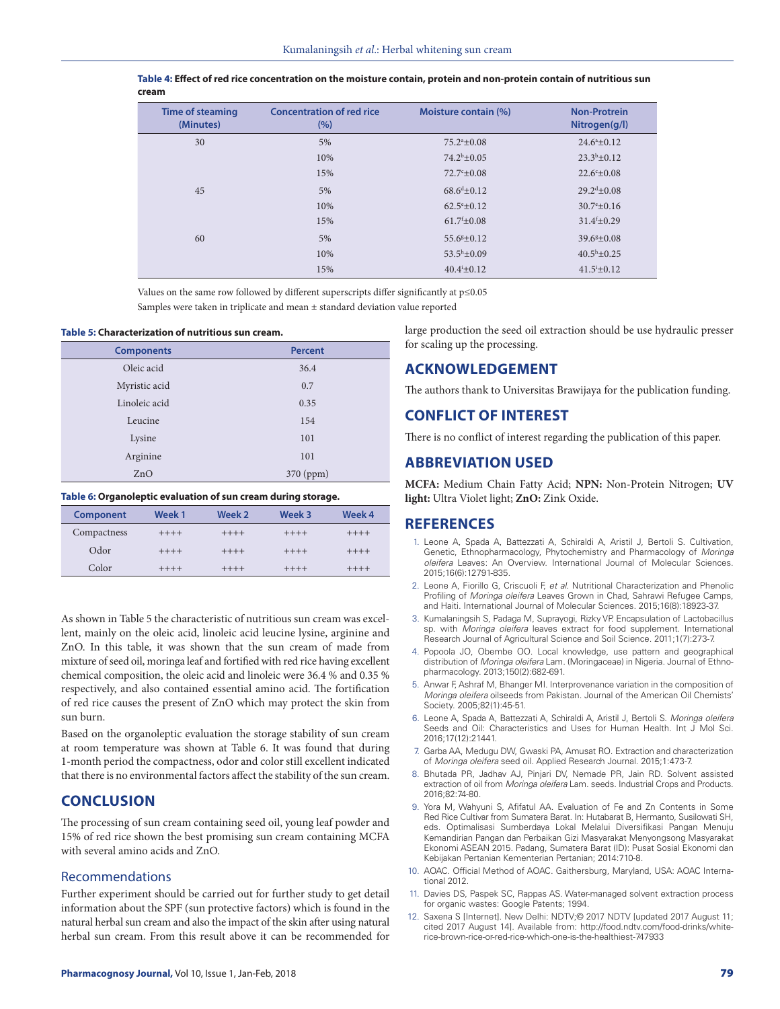| <b>Time of steaming</b><br>(Minutes) | <b>Concentration of red rice</b><br>(%) | Moisture contain (%)           | <b>Non-Protrein</b><br>Nitrogen(g/l) |
|--------------------------------------|-----------------------------------------|--------------------------------|--------------------------------------|
| 30                                   | 5%                                      | $75.2^{\mathrm{a}}\pm0.08$     | $24.6^{\circ}+0.12$                  |
|                                      | 10%                                     | $74.2^b + 0.05$                | $23.3^{b}+0.12$                      |
|                                      | 15%                                     | $72.7^{\circ} \pm 0.08$        | $22.6^{\circ} \pm 0.08$              |
| 45                                   | 5%                                      | $68.6^{\text{d}} + 0.12$       | $29.2^{d} + 0.08$                    |
|                                      | 10%                                     | $62.5^{\circ}+0.12$            | $30.7^{\circ}+0.16$                  |
|                                      | 15%                                     | $61.7$ <sup>f</sup> $\pm$ 0.08 | $31.4^{f} \pm 0.29$                  |
| 60                                   | 5%                                      | $55.6g+0.12$                   | $39.6g+0.08$                         |
|                                      | 10%                                     | $53.5^h \pm 0.09$              | $40.5^{\rm h}+0.25$                  |
|                                      | 15%                                     | $40.4^{i} \pm 0.12$            | $41.5^{\mathrm{i}} \pm 0.12$         |

| Table 4: Effect of red rice concentration on the moisture contain, protein and non-protein contain of nutritious sun |
|----------------------------------------------------------------------------------------------------------------------|
| cream                                                                                                                |

Values on the same row followed by different superscripts differ significantly at p≤0.05 Samples were taken in triplicate and mean ± standard deviation value reported

#### **Table 5: Characterization of nutritious sun cream.**

| <b>Components</b> | <b>Percent</b> |  |
|-------------------|----------------|--|
| Oleic acid        | 36.4           |  |
| Myristic acid     | 0.7            |  |
| Linoleic acid     | 0.35           |  |
| Leucine           | 154            |  |
| Lysine            | 101            |  |
| Arginine          | 101            |  |
| ZnO               | 370 (ppm)      |  |

#### **Table 6: Organoleptic evaluation of sun cream during storage.**

| Component   | Week 1  | Week 2  | Week 3  | Week 4  |
|-------------|---------|---------|---------|---------|
| Compactness | $+++++$ | $+++++$ | $+++++$ | $+++++$ |
| Odor        | $+++++$ | $+++++$ | $+++++$ | $+++++$ |
| Color       | $+++++$ | $+++++$ | $+++++$ | $+++++$ |

As shown in Table 5 the characteristic of nutritious sun cream was excellent, mainly on the oleic acid, linoleic acid leucine lysine, arginine and ZnO. In this table, it was shown that the sun cream of made from mixture of seed oil, moringa leaf and fortified with red rice having excellent chemical composition, the oleic acid and linoleic were 36.4 % and 0.35 % respectively, and also contained essential amino acid. The fortification of red rice causes the present of ZnO which may protect the skin from sun burn.

Based on the organoleptic evaluation the storage stability of sun cream at room temperature was shown at Table 6. It was found that during 1-month period the compactness, odor and color still excellent indicated that there is no environmental factors affect the stability of the sun cream.

### **CONCLUSION**

The processing of sun cream containing seed oil, young leaf powder and 15% of red rice shown the best promising sun cream containing MCFA with several amino acids and ZnO.

### Recommendations

Further experiment should be carried out for further study to get detail information about the SPF (sun protective factors) which is found in the natural herbal sun cream and also the impact of the skin after using natural herbal sun cream. From this result above it can be recommended for

large production the seed oil extraction should be use hydraulic presser for scaling up the processing.

### **ACKNOWLEDGEMENT**

The authors thank to Universitas Brawijaya for the publication funding.

### **CONFLICT OF INTEREST**

There is no conflict of interest regarding the publication of this paper.

### **ABBREVIATION USED**

**MCFA:** Medium Chain Fatty Acid; **NPN:** Non-Protein Nitrogen; **UV light:** Ultra Violet light; **ZnO:** Zink Oxide.

### **REFERENCES**

- 1. Leone A, Spada A, Battezzati A, Schiraldi A, Aristil J, Bertoli S. Cultivation, Genetic, Ethnopharmacology, Phytochemistry and Pharmacology of *Moringa oleifera* Leaves: An Overview. International Journal of Molecular Sciences. 2015;16(6):12791-835.
- 2. Leone A, Fiorillo G, Criscuoli F, *et al*. Nutritional Characterization and Phenolic Profiling of *Moringa oleifera* Leaves Grown in Chad, Sahrawi Refugee Camps, and Haiti. International Journal of Molecular Sciences. 2015;16(8):18923-37.
- 3. Kumalaningsih S, Padaga M, Suprayogi, Rizky VP. Encapsulation of Lactobacillus sp. with *Moringa oleifera* leaves extract for food supplement. International Research Journal of Agricultural Science and Soil Science. 2011;1(7):273-7.
- 4. Popoola JO, Obembe OO. Local knowledge, use pattern and geographical distribution of *Moringa oleifera* Lam. (Moringaceae) in Nigeria. Journal of Ethnopharmacology. 2013;150(2):682-691.
- 5. Anwar F, Ashraf M, Bhanger MI. Interprovenance variation in the composition of *Moringa oleifera* oilseeds from Pakistan. Journal of the American Oil Chemists' Society. 2005;82(1):45-51.
- 6. Leone A, Spada A, Battezzati A, Schiraldi A, Aristil J, Bertoli S. *Moringa oleifera* Seeds and Oil: Characteristics and Uses for Human Health. Int J Mol Sci. 2016;17(12):21441.
- 7. Garba AA, Medugu DW, Gwaski PA, Amusat RO. Extraction and characterization of *Moringa oleifera* seed oil. Applied Research Journal. 2015;1:473-7.
- 8. Bhutada PR, Jadhav AJ, Pinjari DV, Nemade PR, Jain RD. Solvent assisted extraction of oil from *Moringa oleifera* Lam. seeds. Industrial Crops and Products. 2016;82:74-80.
- 9. Yora M, Wahyuni S, Afifatul AA. Evaluation of Fe and Zn Contents in Some Red Rice Cultivar from Sumatera Barat. In: Hutabarat B, Hermanto, Susilowati SH, eds. Optimalisasi Sumberdaya Lokal Melalui Diversifikasi Pangan Menuju Kemandirian Pangan dan Perbaikan Gizi Masyarakat Menyongsong Masyarakat Ekonomi ASEAN 2015. Padang, Sumatera Barat (ID): Pusat Sosial Ekonomi dan Kebijakan Pertanian Kementerian Pertanian; 2014:710-8.
- 10. AOAC. Official Method of AOAC. Gaithersburg, Maryland, USA: AOAC International 2012.
- 11. Davies DS, Paspek SC, Rappas AS. Water-managed solvent extraction process for organic wastes: Google Patents; 1994.
- 12. Saxena S [Internet]. New Delhi: NDTV;© 2017 NDTV [updated 2017 August 11; cited 2017 August 14]. Available from: http://food.ndtv.com/food-drinks/whiterice-brown-rice-or-red-rice-which-one-is-the-healthiest-747933